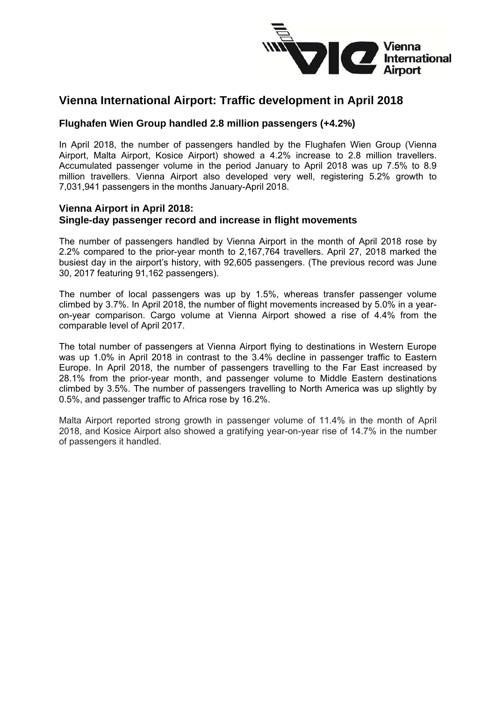

# **Vienna International Airport: Traffic development in April 2018**

## **Flughafen Wien Group handled 2.8 million passengers (+4.2%)**

In April 2018, the number of passengers handled by the Flughafen Wien Group (Vienna Airport, Malta Airport, Kosice Airport) showed a 4.2% increase to 2.8 million travellers. Accumulated passenger volume in the period January to April 2018 was up 7.5% to 8.9 million travellers. Vienna Airport also developed very well, registering 5.2% growth to 7,031,941 passengers in the months January-April 2018.

#### **Vienna Airport in April 2018: Single-day passenger record and increase in flight movements**

The number of passengers handled by Vienna Airport in the month of April 2018 rose by 2.2% compared to the prior-year month to 2,167,764 travellers. April 27, 2018 marked the busiest day in the airport's history, with 92,605 passengers. (The previous record was June 30, 2017 featuring 91,162 passengers).

The number of local passengers was up by 1.5%, whereas transfer passenger volume climbed by 3.7%. In April 2018, the number of flight movements increased by 5.0% in a yearon-year comparison. Cargo volume at Vienna Airport showed a rise of 4.4% from the comparable level of April 2017.

The total number of passengers at Vienna Airport flying to destinations in Western Europe was up 1.0% in April 2018 in contrast to the 3.4% decline in passenger traffic to Eastern Europe. In April 2018, the number of passengers travelling to the Far East increased by 28.1% from the prior-year month, and passenger volume to Middle Eastern destinations climbed by 3.5%. The number of passengers travelling to North America was up slightly by 0.5%, and passenger traffic to Africa rose by 16.2%.

Malta Airport reported strong growth in passenger volume of 11.4% in the month of April 2018, and Kosice Airport also showed a gratifying year-on-year rise of 14.7% in the number of passengers it handled.